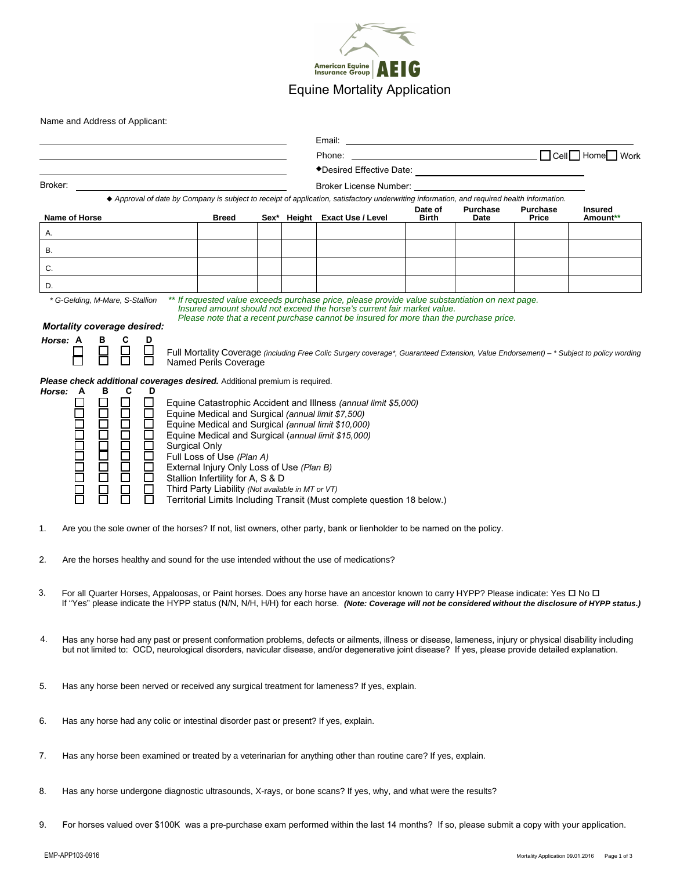

Name and Address of Applicant:

|                                                                                                                                                                                                                                                                                                                      |                                                                                |  |  | Email:                                                                                                                                                                                                                                                               |                  |                         |                          |                     |  |
|----------------------------------------------------------------------------------------------------------------------------------------------------------------------------------------------------------------------------------------------------------------------------------------------------------------------|--------------------------------------------------------------------------------|--|--|----------------------------------------------------------------------------------------------------------------------------------------------------------------------------------------------------------------------------------------------------------------------|------------------|-------------------------|--------------------------|---------------------|--|
|                                                                                                                                                                                                                                                                                                                      |                                                                                |  |  | Phone:                                                                                                                                                                                                                                                               |                  |                         |                          |                     |  |
|                                                                                                                                                                                                                                                                                                                      |                                                                                |  |  |                                                                                                                                                                                                                                                                      |                  |                         |                          |                     |  |
| Broker:                                                                                                                                                                                                                                                                                                              |                                                                                |  |  | Broker License Number: North and the State of the State of the State of the State of the State of the State of                                                                                                                                                       |                  |                         |                          |                     |  |
| ◆ Approval of date by Company is subject to receipt of application, satisfactory underwriting information, and required health information.<br>Name of Horse                                                                                                                                                         | <b>Breed</b>                                                                   |  |  | Sex* Height Exact Use / Level                                                                                                                                                                                                                                        | Date of<br>Birth | <b>Purchase</b><br>Date | <b>Purchase</b><br>Price | Insured<br>Amount** |  |
| Α.                                                                                                                                                                                                                                                                                                                   |                                                                                |  |  |                                                                                                                                                                                                                                                                      |                  |                         |                          |                     |  |
| <b>B.</b>                                                                                                                                                                                                                                                                                                            |                                                                                |  |  |                                                                                                                                                                                                                                                                      |                  |                         |                          |                     |  |
| C.                                                                                                                                                                                                                                                                                                                   |                                                                                |  |  |                                                                                                                                                                                                                                                                      |                  |                         |                          |                     |  |
| D.                                                                                                                                                                                                                                                                                                                   |                                                                                |  |  |                                                                                                                                                                                                                                                                      |                  |                         |                          |                     |  |
| * G-Gelding, M-Mare, S-Stallion                                                                                                                                                                                                                                                                                      |                                                                                |  |  |                                                                                                                                                                                                                                                                      |                  |                         |                          |                     |  |
|                                                                                                                                                                                                                                                                                                                      |                                                                                |  |  | ** If requested value exceeds purchase price, please provide value substantiation on next page.<br>Insured amount should not exceed the horse's current fair market value.<br>Please note that a recent purchase cannot be insured for more than the purchase price. |                  |                         |                          |                     |  |
| <b>Mortality coverage desired:</b>                                                                                                                                                                                                                                                                                   |                                                                                |  |  |                                                                                                                                                                                                                                                                      |                  |                         |                          |                     |  |
| C<br>Horse: A<br>в<br>D<br>$\Box$                                                                                                                                                                                                                                                                                    |                                                                                |  |  |                                                                                                                                                                                                                                                                      |                  |                         |                          |                     |  |
| П                                                                                                                                                                                                                                                                                                                    | Named Perils Coverage                                                          |  |  | Full Mortality Coverage (including Free Colic Surgery coverage*, Guaranteed Extension, Value Endorsement) - * Subject to policy wording                                                                                                                              |                  |                         |                          |                     |  |
| <b>Please check additional coverages desired.</b> Additional premium is required.                                                                                                                                                                                                                                    |                                                                                |  |  |                                                                                                                                                                                                                                                                      |                  |                         |                          |                     |  |
| Horse: A<br>В<br>C<br>D                                                                                                                                                                                                                                                                                              |                                                                                |  |  |                                                                                                                                                                                                                                                                      |                  |                         |                          |                     |  |
| П<br>Equine Catastrophic Accident and Illness (annual limit \$5,000)<br>100000C<br>Equine Medical and Surgical (annual limit \$7,500)                                                                                                                                                                                |                                                                                |  |  |                                                                                                                                                                                                                                                                      |                  |                         |                          |                     |  |
| $\Box$<br>Equine Medical and Surgical (annual limit \$10,000)                                                                                                                                                                                                                                                        |                                                                                |  |  |                                                                                                                                                                                                                                                                      |                  |                         |                          |                     |  |
| Equine Medical and Surgical (annual limit \$15,000)<br>Surgical Only                                                                                                                                                                                                                                                 |                                                                                |  |  |                                                                                                                                                                                                                                                                      |                  |                         |                          |                     |  |
| È                                                                                                                                                                                                                                                                                                                    | Full Loss of Use (Plan A)                                                      |  |  |                                                                                                                                                                                                                                                                      |                  |                         |                          |                     |  |
| □                                                                                                                                                                                                                                                                                                                    | External Injury Only Loss of Use (Plan B)<br>Stallion Infertility for A, S & D |  |  |                                                                                                                                                                                                                                                                      |                  |                         |                          |                     |  |
|                                                                                                                                                                                                                                                                                                                      | Third Party Liability (Not available in MT or VT)                              |  |  | Territorial Limits Including Transit (Must complete question 18 below.)                                                                                                                                                                                              |                  |                         |                          |                     |  |
|                                                                                                                                                                                                                                                                                                                      |                                                                                |  |  |                                                                                                                                                                                                                                                                      |                  |                         |                          |                     |  |
| 1.<br>Are you the sole owner of the horses? If not, list owners, other party, bank or lienholder to be named on the policy.                                                                                                                                                                                          |                                                                                |  |  |                                                                                                                                                                                                                                                                      |                  |                         |                          |                     |  |
| 2.<br>Are the horses healthy and sound for the use intended without the use of medications?                                                                                                                                                                                                                          |                                                                                |  |  |                                                                                                                                                                                                                                                                      |                  |                         |                          |                     |  |
| 3.<br>For all Quarter Horses, Appaloosas, or Paint horses. Does any horse have an ancestor known to carry HYPP? Please indicate: Yes $\Box$ No $\Box$                                                                                                                                                                |                                                                                |  |  |                                                                                                                                                                                                                                                                      |                  |                         |                          |                     |  |
| If "Yes" please indicate the HYPP status (N/N, N/H, H/H) for each horse. (Note: Coverage will not be considered without the disclosure of HYPP status.)                                                                                                                                                              |                                                                                |  |  |                                                                                                                                                                                                                                                                      |                  |                         |                          |                     |  |
|                                                                                                                                                                                                                                                                                                                      |                                                                                |  |  |                                                                                                                                                                                                                                                                      |                  |                         |                          |                     |  |
| Has any horse had any past or present conformation problems, defects or ailments, illness or disease, lameness, injury or physical disability including<br>4.<br>but not limited to: OCD, neurological disorders, navicular disease, and/or degenerative joint disease? If yes, please provide detailed explanation. |                                                                                |  |  |                                                                                                                                                                                                                                                                      |                  |                         |                          |                     |  |
|                                                                                                                                                                                                                                                                                                                      |                                                                                |  |  |                                                                                                                                                                                                                                                                      |                  |                         |                          |                     |  |
| 5.<br>Has any horse been nerved or received any surgical treatment for lameness? If yes, explain.                                                                                                                                                                                                                    |                                                                                |  |  |                                                                                                                                                                                                                                                                      |                  |                         |                          |                     |  |
|                                                                                                                                                                                                                                                                                                                      |                                                                                |  |  |                                                                                                                                                                                                                                                                      |                  |                         |                          |                     |  |
| 6.<br>Has any horse had any colic or intestinal disorder past or present? If yes, explain.                                                                                                                                                                                                                           |                                                                                |  |  |                                                                                                                                                                                                                                                                      |                  |                         |                          |                     |  |
|                                                                                                                                                                                                                                                                                                                      |                                                                                |  |  |                                                                                                                                                                                                                                                                      |                  |                         |                          |                     |  |
| 7.<br>Has any horse been examined or treated by a veterinarian for anything other than routine care? If yes, explain.                                                                                                                                                                                                |                                                                                |  |  |                                                                                                                                                                                                                                                                      |                  |                         |                          |                     |  |
|                                                                                                                                                                                                                                                                                                                      |                                                                                |  |  |                                                                                                                                                                                                                                                                      |                  |                         |                          |                     |  |
| 8.<br>Has any horse undergone diagnostic ultrasounds, X-rays, or bone scans? If yes, why, and what were the results?                                                                                                                                                                                                 |                                                                                |  |  |                                                                                                                                                                                                                                                                      |                  |                         |                          |                     |  |
|                                                                                                                                                                                                                                                                                                                      |                                                                                |  |  |                                                                                                                                                                                                                                                                      |                  |                         |                          |                     |  |
| 9.<br>For horses valued over \$100K was a pre-purchase exam performed within the last 14 months? If so, please submit a copy with your application.                                                                                                                                                                  |                                                                                |  |  |                                                                                                                                                                                                                                                                      |                  |                         |                          |                     |  |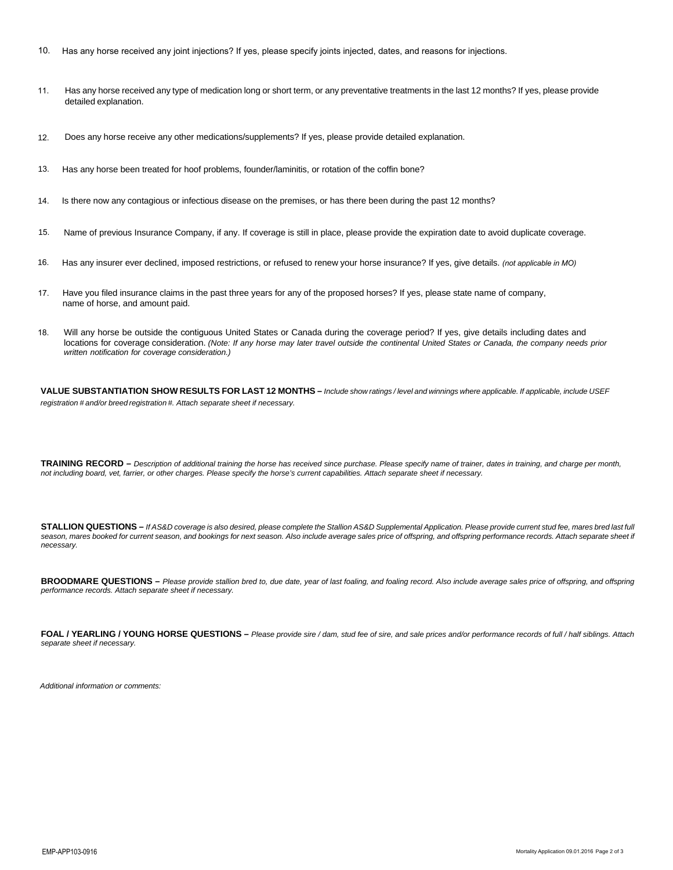- 10. Has any horse received any joint injections? If yes, please specify joints injected, dates, and reasons for injections.
- 11. Has any horse received any type of medication long or short term, or any preventative treatments in the last 12 months? If yes, please provide detailed explanation.
- 12. Does any horse receive any other medications/supplements? If yes, please provide detailed explanation.
- 13. Has any horse been treated for hoof problems, founder/laminitis, or rotation of the coffin bone?
- 14. Is there now any contagious or infectious disease on the premises, or has there been during the past 12 months?
- 15. Name of previous Insurance Company, if any. If coverage is still in place, please provide the expiration date to avoid duplicate coverage.
- 16. Has any insurer ever declined, imposed restrictions, or refused to renew your horse insurance? If yes, give details. *(not applicable in MO)*
- 17. Have you filed insurance claims in the past three years for any of the proposed horses? If yes, please state name of company, name of horse, and amount paid.
- 18. Will any horse be outside the contiguous United States or Canada during the coverage period? If yes, give details including dates and locations for coverage consideration. *(Note: If any horse may later travel outside the continental United States or Canada, the company needs prior written notification for coverage consideration.)*

VALUE SUBSTANTIATION SHOW RESULTS FOR LAST 12 MONTHS - Include show ratings / level and winnings where applicable. If applicable, include USEF *registration # and/or breed registration #. Attach separate sheet if necessary.* 

TRAINING RECORD - Description of additional training the horse has received since purchase. Please specify name of trainer, dates in training, and charge per month, *not including board, vet, farrier, or other charges. Please specify the horse's current capabilities. Attach separate sheet if necessary.* 

STALLION QUESTIONS - If AS&D coverage is also desired, please complete the Stallion AS&D Supplemental Application. Please provide current stud fee, mares bred last full season, mares booked for current season, and bookings for next season. Also include average sales price of offspring, and offspring performance records. Attach separate sheet if *necessary.* 

BROODMARE QUESTIONS - Please provide stallion bred to, due date, year of last foaling, and foaling record. Also include average sales price of offspring, and offspring *performance records. Attach separate sheet if necessary.*

**FOAL / YEARLING / YOUNG HORSE QUESTIONS –** *Please provide sire / dam, stud fee of sire, and sale prices and/or performance records of full / half siblings. Attach separate sheet if necessary.*

*Additional information or comments:*